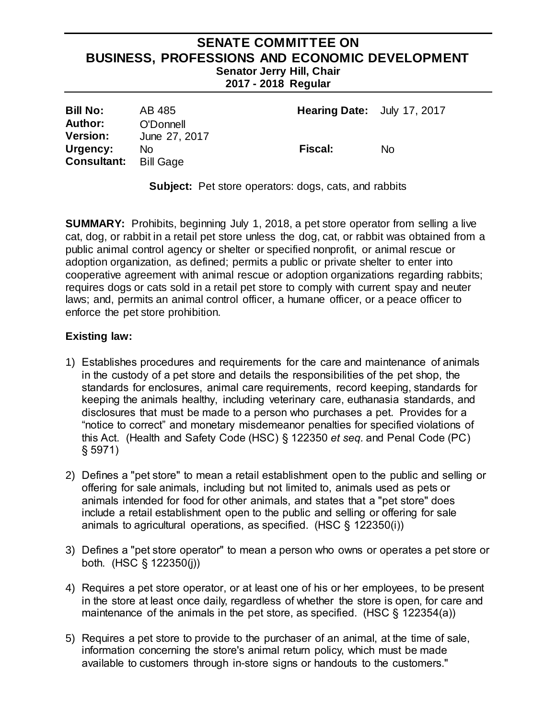## **SENATE COMMITTEE ON BUSINESS, PROFESSIONS AND ECONOMIC DEVELOPMENT Senator Jerry Hill, Chair 2017 - 2018 Regular**

| <b>Bill No:</b>                   | AB 485                     | <b>Hearing Date:</b> July 17, 2017 |     |
|-----------------------------------|----------------------------|------------------------------------|-----|
| <b>Author:</b><br><b>Version:</b> | O'Donnell<br>June 27, 2017 |                                    |     |
| Urgency:<br><b>Consultant:</b>    | No.<br>Bill Gage           | <b>Fiscal:</b>                     | No. |

**Subject:** Pet store operators: dogs, cats, and rabbits

**SUMMARY:** Prohibits, beginning July 1, 2018, a pet store operator from selling a live cat, dog, or rabbit in a retail pet store unless the dog, cat, or rabbit was obtained from a public animal control agency or shelter or specified nonprofit, or animal rescue or adoption organization, as defined; permits a public or private shelter to enter into cooperative agreement with animal rescue or adoption organizations regarding rabbits; requires dogs or cats sold in a retail pet store to comply with current spay and neuter laws; and, permits an animal control officer, a humane officer, or a peace officer to enforce the pet store prohibition.

#### **Existing law:**

- 1) Establishes procedures and requirements for the care and maintenance of animals in the custody of a pet store and details the responsibilities of the pet shop, the standards for enclosures, animal care requirements, record keeping, standards for keeping the animals healthy, including veterinary care, euthanasia standards, and disclosures that must be made to a person who purchases a pet. Provides for a "notice to correct" and monetary misdemeanor penalties for specified violations of this Act. (Health and Safety Code (HSC) § 122350 *et seq.* and Penal Code (PC) § 5971)
- 2) Defines a "pet store" to mean a retail establishment open to the public and selling or offering for sale animals, including but not limited to, animals used as pets or animals intended for food for other animals, and states that a "pet store" does include a retail establishment open to the public and selling or offering for sale animals to agricultural operations, as specified. (HSC § 122350(i))
- 3) Defines a "pet store operator" to mean a person who owns or operates a pet store or both. (HSC § 122350(j))
- 4) Requires a pet store operator, or at least one of his or her employees, to be present in the store at least once daily, regardless of whether the store is open, for care and maintenance of the animals in the pet store, as specified. (HSC § 122354(a))
- 5) Requires a pet store to provide to the purchaser of an animal, at the time of sale, information concerning the store's animal return policy, which must be made available to customers through in-store signs or handouts to the customers."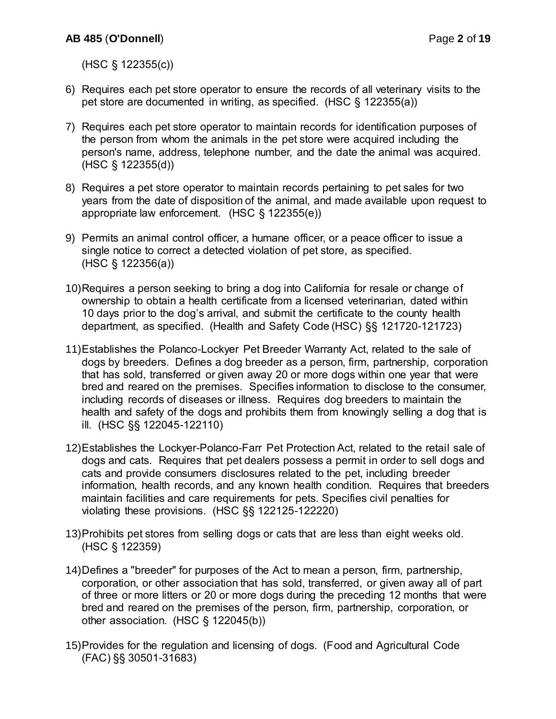(HSC § 122355(c))

- 6) Requires each pet store operator to ensure the records of all veterinary visits to the pet store are documented in writing, as specified. (HSC § 122355(a))
- 7) Requires each pet store operator to maintain records for identification purposes of the person from whom the animals in the pet store were acquired including the person's name, address, telephone number, and the date the animal was acquired. (HSC § 122355(d))
- 8) Requires a pet store operator to maintain records pertaining to pet sales for two years from the date of disposition of the animal, and made available upon request to appropriate law enforcement. (HSC § 122355(e))
- 9) Permits an animal control officer, a humane officer, or a peace officer to issue a single notice to correct a detected violation of pet store, as specified. (HSC § 122356(a))
- 10)Requires a person seeking to bring a dog into California for resale or change of ownership to obtain a health certificate from a licensed veterinarian, dated within 10 days prior to the dog's arrival, and submit the certificate to the county health department, as specified. (Health and Safety Code (HSC) §§ 121720-121723)
- 11)Establishes the Polanco-Lockyer Pet Breeder Warranty Act, related to the sale of dogs by breeders. Defines a dog breeder as a person, firm, partnership, corporation that has sold, transferred or given away 20 or more dogs within one year that were bred and reared on the premises. Specifies information to disclose to the consumer, including records of diseases or illness. Requires dog breeders to maintain the health and safety of the dogs and prohibits them from knowingly selling a dog that is ill. (HSC §§ 122045-122110)
- 12)Establishes the Lockyer-Polanco-Farr Pet Protection Act, related to the retail sale of dogs and cats. Requires that pet dealers possess a permit in order to sell dogs and cats and provide consumers disclosures related to the pet, including breeder information, health records, and any known health condition. Requires that breeders maintain facilities and care requirements for pets. Specifies civil penalties for violating these provisions. (HSC §§ 122125-122220)
- 13)Prohibits pet stores from selling dogs or cats that are less than eight weeks old. (HSC § 122359)
- 14)Defines a "breeder" for purposes of the Act to mean a person, firm, partnership, corporation, or other association that has sold, transferred, or given away all of part of three or more litters or 20 or more dogs during the preceding 12 months that were bred and reared on the premises of the person, firm, partnership, corporation, or other association. (HSC § 122045(b))
- 15)Provides for the regulation and licensing of dogs. (Food and Agricultural Code (FAC) §§ 30501-31683)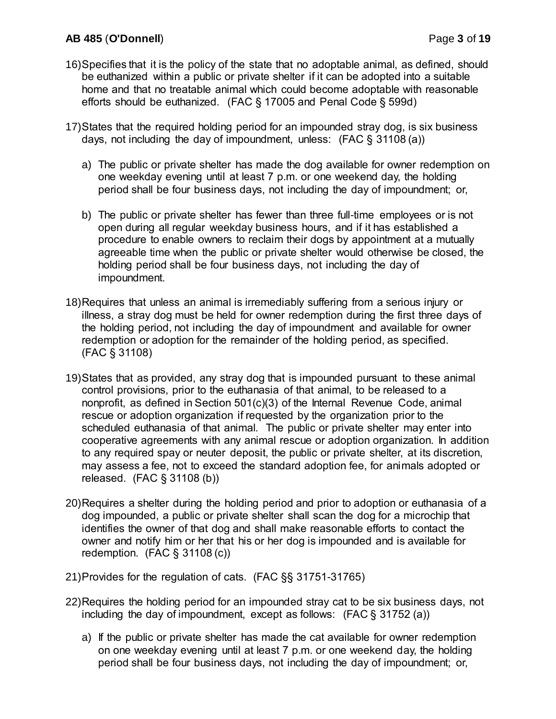# **AB 485** (**O'Donnell**) Page **3** of **19**

- 16)Specifies that it is the policy of the state that no adoptable animal, as defined, should be euthanized within a public or private shelter if it can be adopted into a suitable home and that no treatable animal which could become adoptable with reasonable efforts should be euthanized. (FAC § 17005 and Penal Code § 599d)
- 17)States that the required holding period for an impounded stray dog, is six business days, not including the day of impoundment, unless: (FAC § 31108 (a))
	- a) The public or private shelter has made the dog available for owner redemption on one weekday evening until at least 7 p.m. or one weekend day, the holding period shall be four business days, not including the day of impoundment; or,
	- b) The public or private shelter has fewer than three full-time employees or is not open during all regular weekday business hours, and if it has established a procedure to enable owners to reclaim their dogs by appointment at a mutually agreeable time when the public or private shelter would otherwise be closed, the holding period shall be four business days, not including the day of impoundment.
- 18)Requires that unless an animal is irremediably suffering from a serious injury or illness, a stray dog must be held for owner redemption during the first three days of the holding period, not including the day of impoundment and available for owner redemption or adoption for the remainder of the holding period, as specified. (FAC § 31108)
- 19)States that as provided, any stray dog that is impounded pursuant to these animal control provisions, prior to the euthanasia of that animal, to be released to a nonprofit, as defined in Section 501(c)(3) of the Internal Revenue Code, animal rescue or adoption organization if requested by the organization prior to the scheduled euthanasia of that animal. The public or private shelter may enter into cooperative agreements with any animal rescue or adoption organization. In addition to any required spay or neuter deposit, the public or private shelter, at its discretion, may assess a fee, not to exceed the standard adoption fee, for animals adopted or released. (FAC § 31108 (b))
- 20)Requires a shelter during the holding period and prior to adoption or euthanasia of a dog impounded, a public or private shelter shall scan the dog for a microchip that identifies the owner of that dog and shall make reasonable efforts to contact the owner and notify him or her that his or her dog is impounded and is available for redemption. (FAC § 31108 (c))
- 21)Provides for the regulation of cats. (FAC §§ 31751-31765)
- 22)Requires the holding period for an impounded stray cat to be six business days, not including the day of impoundment, except as follows:  $(FAC \S 31752 (a))$ 
	- a) If the public or private shelter has made the cat available for owner redemption on one weekday evening until at least 7 p.m. or one weekend day, the holding period shall be four business days, not including the day of impoundment; or,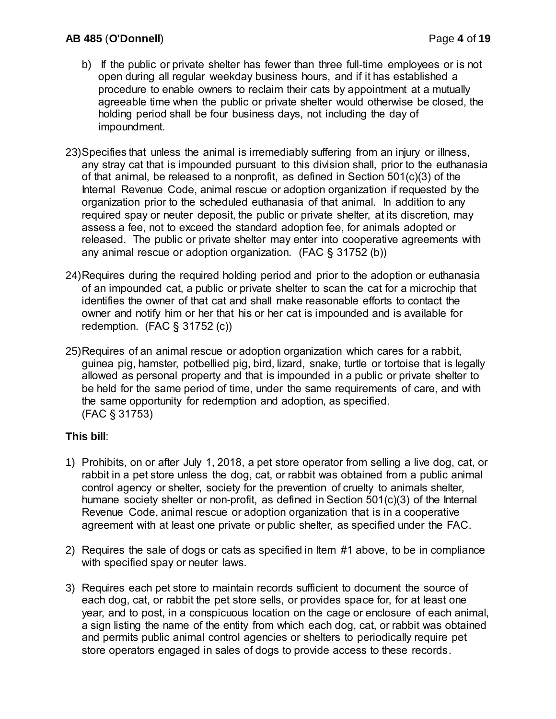- b) If the public or private shelter has fewer than three full-time employees or is not open during all regular weekday business hours, and if it has established a procedure to enable owners to reclaim their cats by appointment at a mutually agreeable time when the public or private shelter would otherwise be closed, the holding period shall be four business days, not including the day of impoundment.
- 23)Specifies that unless the animal is irremediably suffering from an injury or illness, any stray cat that is impounded pursuant to this division shall, prior to the euthanasia of that animal, be released to a nonprofit, as defined in Section 501(c)(3) of the Internal Revenue Code, animal rescue or adoption organization if requested by the organization prior to the scheduled euthanasia of that animal. In addition to any required spay or neuter deposit, the public or private shelter, at its discretion, may assess a fee, not to exceed the standard adoption fee, for animals adopted or released. The public or private shelter may enter into cooperative agreements with any animal rescue or adoption organization. (FAC § 31752 (b))
- 24)Requires during the required holding period and prior to the adoption or euthanasia of an impounded cat, a public or private shelter to scan the cat for a microchip that identifies the owner of that cat and shall make reasonable efforts to contact the owner and notify him or her that his or her cat is impounded and is available for redemption. (FAC § 31752 (c))
- 25)Requires of an animal rescue or adoption organization which cares for a rabbit, guinea pig, hamster, potbellied pig, bird, lizard, snake, turtle or tortoise that is legally allowed as personal property and that is impounded in a public or private shelter to be held for the same period of time, under the same requirements of care, and with the same opportunity for redemption and adoption, as specified. (FAC § 31753)

# **This bill**:

- 1) Prohibits, on or after July 1, 2018, a pet store operator from selling a live dog, cat, or rabbit in a pet store unless the dog, cat, or rabbit was obtained from a public animal control agency or shelter, society for the prevention of cruelty to animals shelter, humane society shelter or non-profit, as defined in Section 501(c)(3) of the Internal Revenue Code, animal rescue or adoption organization that is in a cooperative agreement with at least one private or public shelter, as specified under the FAC.
- 2) Requires the sale of dogs or cats as specified in Item #1 above, to be in compliance with specified spay or neuter laws.
- 3) Requires each pet store to maintain records sufficient to document the source of each dog, cat, or rabbit the pet store sells, or provides space for, for at least one year, and to post, in a conspicuous location on the cage or enclosure of each animal, a sign listing the name of the entity from which each dog, cat, or rabbit was obtained and permits public animal control agencies or shelters to periodically require pet store operators engaged in sales of dogs to provide access to these records.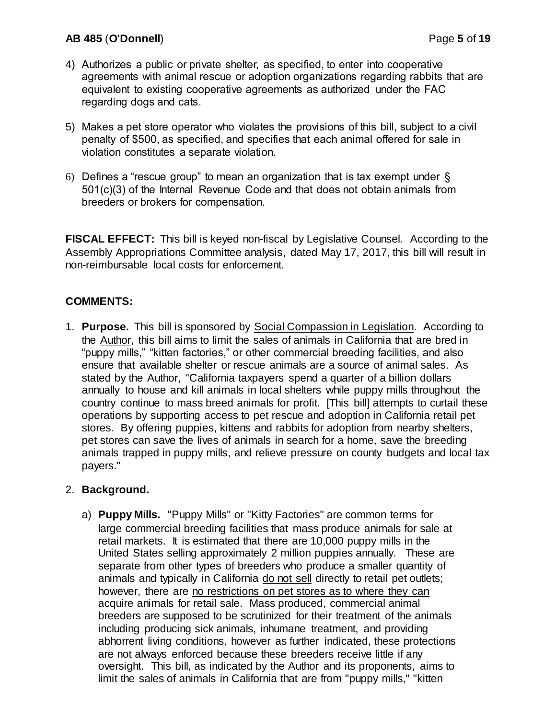## **AB 485** (**O'Donnell**) Page **5** of **19**

- 4) Authorizes a public or private shelter, as specified, to enter into cooperative agreements with animal rescue or adoption organizations regarding rabbits that are equivalent to existing cooperative agreements as authorized under the FAC regarding dogs and cats.
- 5) Makes a pet store operator who violates the provisions of this bill, subject to a civil penalty of \$500, as specified, and specifies that each animal offered for sale in violation constitutes a separate violation.
- 6) Defines a "rescue group" to mean an organization that is tax exempt under § 501(c)(3) of the Internal Revenue Code and that does not obtain animals from breeders or brokers for compensation.

**FISCAL EFFECT:** This bill is keyed non-fiscal by Legislative Counsel. According to the Assembly Appropriations Committee analysis, dated May 17, 2017, this bill will result in non-reimbursable local costs for enforcement.

# **COMMENTS:**

1. **Purpose.** This bill is sponsored by Social Compassion in Legislation. According to the Author, this bill aims to limit the sales of animals in California that are bred in "puppy mills," "kitten factories," or other commercial breeding facilities, and also ensure that available shelter or rescue animals are a source of animal sales. As stated by the Author, "California taxpayers spend a quarter of a billion dollars annually to house and kill animals in local shelters while puppy mills throughout the country continue to mass breed animals for profit. [This bill] attempts to curtail these operations by supporting access to pet rescue and adoption in California retail pet stores. By offering puppies, kittens and rabbits for adoption from nearby shelters, pet stores can save the lives of animals in search for a home, save the breeding animals trapped in puppy mills, and relieve pressure on county budgets and local tax payers."

#### 2. **Background.**

a) **Puppy Mills.** "Puppy Mills" or "Kitty Factories" are common terms for large commercial breeding facilities that mass produce animals for sale at retail markets. It is estimated that there are 10,000 puppy mills in the United States selling approximately 2 million puppies annually. These are separate from other types of breeders who produce a smaller quantity of animals and typically in California do not sell directly to retail pet outlets; however, there are no restrictions on pet stores as to where they can acquire animals for retail sale. Mass produced, commercial animal breeders are supposed to be scrutinized for their treatment of the animals including producing sick animals, inhumane treatment, and providing abhorrent living conditions, however as further indicated, these protections are not always enforced because these breeders receive little if any oversight. This bill, as indicated by the Author and its proponents, aims to limit the sales of animals in California that are from "puppy mills," "kitten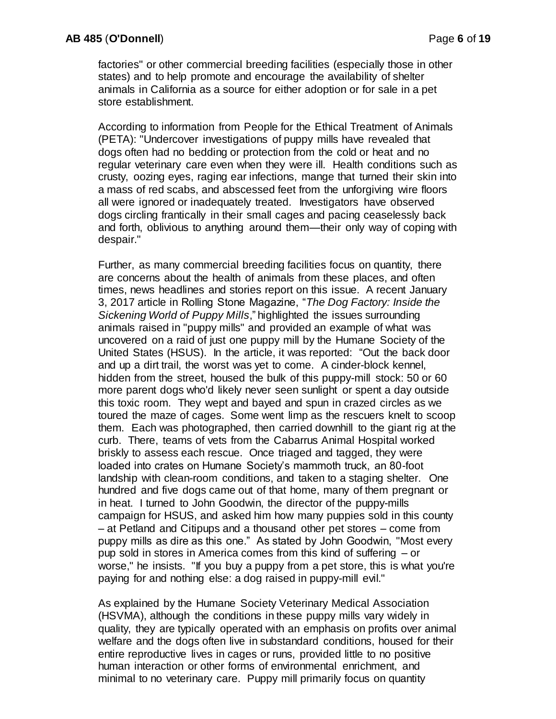factories" or other commercial breeding facilities (especially those in other states) and to help promote and encourage the availability of shelter animals in California as a source for either adoption or for sale in a pet store establishment.

According to information from People for the Ethical Treatment of Animals (PETA): "Undercover investigations of puppy mills have revealed that dogs often had no bedding or protection from the cold or heat and no regular veterinary care even when they were ill. Health conditions such as crusty, oozing eyes, raging ear infections, mange that turned their skin into a mass of red scabs, and abscessed feet from the unforgiving wire floors all were ignored or inadequately treated. Investigators have observed dogs circling frantically in their small cages and pacing ceaselessly back and forth, oblivious to anything around them—their only way of coping with despair."

Further, as many commercial breeding facilities focus on quantity, there are concerns about the health of animals from these places, and often times, news headlines and stories report on this issue. A recent January 3, 2017 article in Rolling Stone Magazine, "*The Dog Factory: Inside the Sickening World of Puppy Mills*," highlighted the issues surrounding animals raised in "puppy mills" and provided an example of what was uncovered on a raid of just one puppy mill by the Humane Society of the United States (HSUS). In the article, it was reported: "Out the back door and up a dirt trail, the worst was yet to come. A cinder-block kennel, hidden from the street, housed the bulk of this puppy-mill stock: 50 or 60 more parent dogs who'd likely never seen sunlight or spent a day outside this toxic room. They wept and bayed and spun in crazed circles as we toured the maze of cages. Some went limp as the rescuers knelt to scoop them. Each was photographed, then carried downhill to the giant rig at the curb. There, teams of vets from the Cabarrus Animal Hospital worked briskly to assess each rescue. Once triaged and tagged, they were loaded into crates on Humane Society's mammoth truck, an 80-foot landship with clean-room conditions, and taken to a staging shelter. One hundred and five dogs came out of that home, many of them pregnant or in heat. I turned to John Goodwin, the director of the puppy-mills campaign for HSUS, and asked him how many puppies sold in this county – at Petland and Citipups and a thousand other pet stores – come from puppy mills as dire as this one." As stated by John Goodwin, "Most every pup sold in stores in America comes from this kind of suffering – or worse," he insists. "If you buy a puppy from a pet store, this is what you're paying for and nothing else: a dog raised in puppy-mill evil."

As explained by the Humane Society Veterinary Medical Association (HSVMA), although the conditions in these puppy mills vary widely in quality, they are typically operated with an emphasis on profits over animal welfare and the dogs often live in substandard conditions, housed for their entire reproductive lives in cages or runs, provided little to no positive human interaction or other forms of environmental enrichment, and minimal to no veterinary care. Puppy mill primarily focus on quantity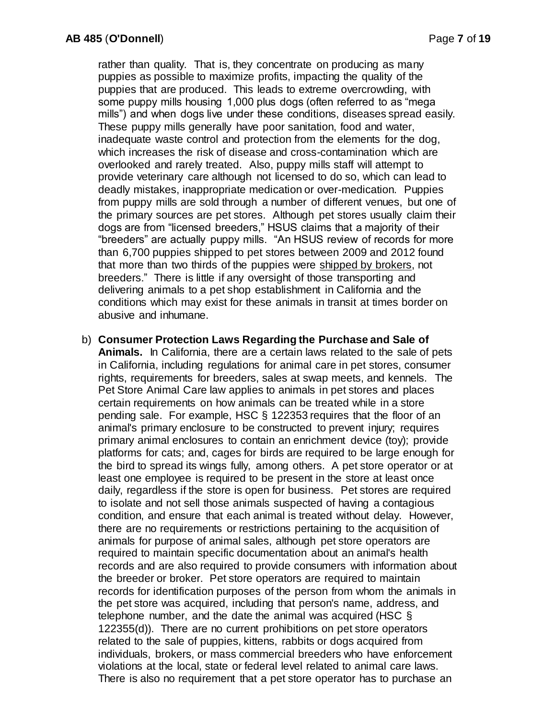rather than quality. That is, they concentrate on producing as many puppies as possible to maximize profits, impacting the quality of the puppies that are produced. This leads to extreme overcrowding, with some puppy mills housing 1,000 plus dogs (often referred to as "mega mills") and when dogs live under these conditions, diseases spread easily. These puppy mills generally have poor sanitation, food and water, inadequate waste control and protection from the elements for the dog, which increases the risk of disease and cross-contamination which are overlooked and rarely treated. Also, puppy mills staff will attempt to provide veterinary care although not licensed to do so, which can lead to deadly mistakes, inappropriate medication or over-medication. Puppies from puppy mills are sold through a number of different venues, but one of the primary sources are pet stores. Although pet stores usually claim their dogs are from "licensed breeders," HSUS claims that a majority of their "breeders" are actually puppy mills. "An HSUS review of records for more than 6,700 puppies shipped to pet stores between 2009 and 2012 found that more than two thirds of the puppies were shipped by brokers, not breeders." There is little if any oversight of those transporting and delivering animals to a pet shop establishment in California and the conditions which may exist for these animals in transit at times border on abusive and inhumane.

b) **Consumer Protection Laws Regarding the Purchase and Sale of Animals.** In California, there are a certain laws related to the sale of pets in California, including regulations for animal care in pet stores, consumer rights, requirements for breeders, sales at swap meets, and kennels. The Pet Store Animal Care law applies to animals in pet stores and places certain requirements on how animals can be treated while in a store pending sale. For example, HSC § 122353 requires that the floor of an animal's primary enclosure to be constructed to prevent injury; requires primary animal enclosures to contain an enrichment device (toy); provide platforms for cats; and, cages for birds are required to be large enough for the bird to spread its wings fully, among others. A pet store operator or at least one employee is required to be present in the store at least once daily, regardless if the store is open for business. Pet stores are required to isolate and not sell those animals suspected of having a contagious condition, and ensure that each animal is treated without delay. However, there are no requirements or restrictions pertaining to the acquisition of animals for purpose of animal sales, although pet store operators are required to maintain specific documentation about an animal's health records and are also required to provide consumers with information about the breeder or broker. Pet store operators are required to maintain records for identification purposes of the person from whom the animals in the pet store was acquired, including that person's name, address, and telephone number, and the date the animal was acquired (HSC § 122355(d)). There are no current prohibitions on pet store operators related to the sale of puppies, kittens, rabbits or dogs acquired from individuals, brokers, or mass commercial breeders who have enforcement violations at the local, state or federal level related to animal care laws. There is also no requirement that a pet store operator has to purchase an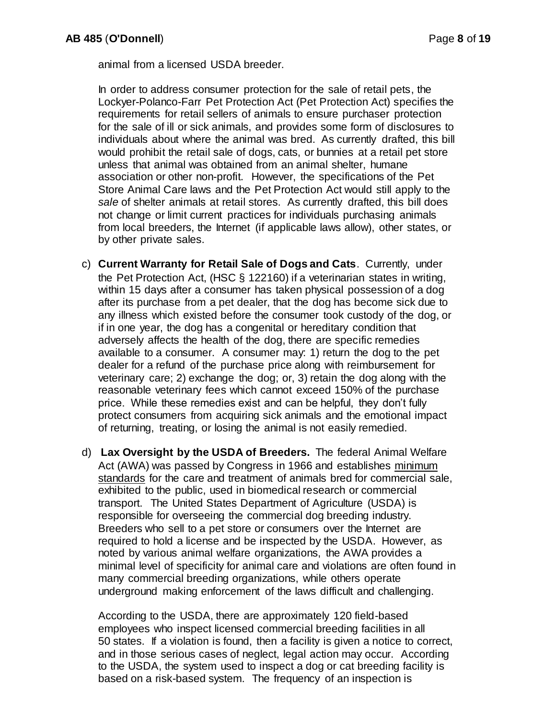animal from a licensed USDA breeder.

In order to address consumer protection for the sale of retail pets, the Lockyer-Polanco-Farr Pet Protection Act (Pet Protection Act) specifies the requirements for retail sellers of animals to ensure purchaser protection for the sale of ill or sick animals, and provides some form of disclosures to individuals about where the animal was bred. As currently drafted, this bill would prohibit the retail sale of dogs, cats, or bunnies at a retail pet store unless that animal was obtained from an animal shelter, humane association or other non-profit. However, the specifications of the Pet Store Animal Care laws and the Pet Protection Act would still apply to the *sale* of shelter animals at retail stores. As currently drafted, this bill does not change or limit current practices for individuals purchasing animals from local breeders, the Internet (if applicable laws allow), other states, or by other private sales.

- c) **Current Warranty for Retail Sale of Dogs and Cats**. Currently, under the Pet Protection Act, (HSC § 122160) if a veterinarian states in writing, within 15 days after a consumer has taken physical possession of a dog after its purchase from a pet dealer, that the dog has become sick due to any illness which existed before the consumer took custody of the dog, or if in one year, the dog has a congenital or hereditary condition that adversely affects the health of the dog, there are specific remedies available to a consumer. A consumer may: 1) return the dog to the pet dealer for a refund of the purchase price along with reimbursement for veterinary care; 2) exchange the dog; or, 3) retain the dog along with the reasonable veterinary fees which cannot exceed 150% of the purchase price. While these remedies exist and can be helpful, they don't fully protect consumers from acquiring sick animals and the emotional impact of returning, treating, or losing the animal is not easily remedied.
- d) **Lax Oversight by the USDA of Breeders.** The federal Animal Welfare Act (AWA) was passed by Congress in 1966 and establishes minimum standards for the care and treatment of animals bred for commercial sale, exhibited to the public, used in biomedical research or commercial transport. The United States Department of Agriculture (USDA) is responsible for overseeing the commercial dog breeding industry. Breeders who sell to a pet store or consumers over the Internet are required to hold a license and be inspected by the USDA. However, as noted by various animal welfare organizations, the AWA provides a minimal level of specificity for animal care and violations are often found in many commercial breeding organizations, while others operate underground making enforcement of the laws difficult and challenging.

According to the USDA, there are approximately 120 field-based employees who inspect licensed commercial breeding facilities in all 50 states. If a violation is found, then a facility is given a notice to correct, and in those serious cases of neglect, legal action may occur. According to the USDA, the system used to inspect a dog or cat breeding facility is based on a risk-based system. The frequency of an inspection is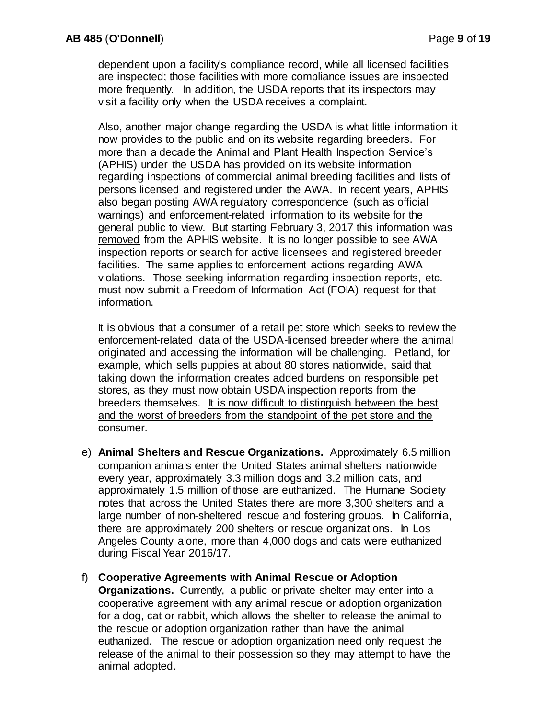dependent upon a facility's compliance record, while all licensed facilities are inspected; those facilities with more compliance issues are inspected more frequently. In addition, the USDA reports that its inspectors may visit a facility only when the USDA receives a complaint.

Also, another major change regarding the USDA is what little information it now provides to the public and on its website regarding breeders. For more than a decade the Animal and Plant Health Inspection Service's (APHIS) under the USDA has provided on its website information regarding inspections of commercial animal breeding facilities and lists of persons licensed and registered under the AWA. In recent years, APHIS also began posting AWA regulatory correspondence (such as official warnings) and enforcement-related information to its website for the general public to view. But starting February 3, 2017 this information was removed from the APHIS website. It is no longer possible to see AWA inspection reports or search for active licensees and registered breeder facilities. The same applies to enforcement actions regarding AWA violations. Those seeking information regarding inspection reports, etc. must now submit a Freedom of Information Act (FOIA) request for that information.

It is obvious that a consumer of a retail pet store which seeks to review the enforcement-related data of the USDA-licensed breeder where the animal originated and accessing the information will be challenging. Petland, for example, which sells puppies at about 80 stores nationwide, said that taking down the information creates added burdens on responsible pet stores, as they must now obtain USDA inspection reports from the breeders themselves. It is now difficult to distinguish between the best and the worst of breeders from the standpoint of the pet store and the consumer.

- e) **Animal Shelters and Rescue Organizations.** Approximately 6.5 million companion animals enter the United States animal shelters nationwide every year, approximately 3.3 million dogs and 3.2 million cats, and approximately 1.5 million of those are euthanized. The Humane Society notes that across the United States there are more 3,300 shelters and a large number of non-sheltered rescue and fostering groups. In California, there are approximately 200 shelters or rescue organizations. In Los Angeles County alone, more than 4,000 dogs and cats were euthanized during Fiscal Year 2016/17.
- f) **Cooperative Agreements with Animal Rescue or Adoption Organizations.** Currently, a public or private shelter may enter into a cooperative agreement with any animal rescue or adoption organization for a dog, cat or rabbit, which allows the shelter to release the animal to the rescue or adoption organization rather than have the animal euthanized. The rescue or adoption organization need only request the release of the animal to their possession so they may attempt to have the animal adopted.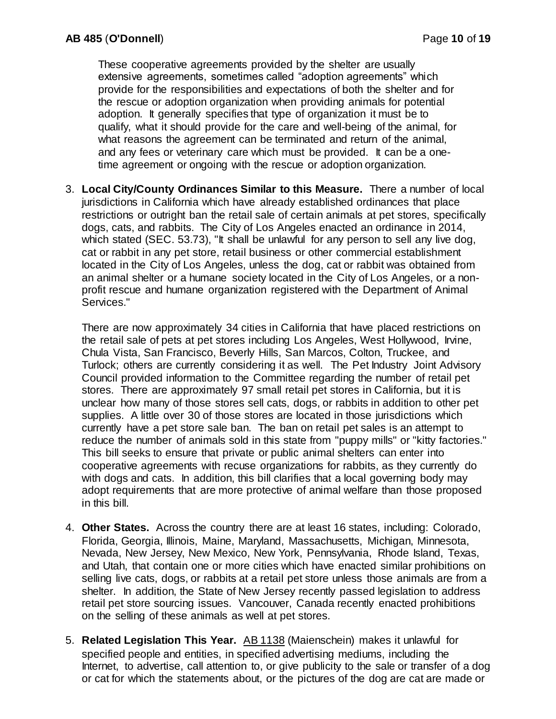These cooperative agreements provided by the shelter are usually extensive agreements, sometimes called "adoption agreements" which provide for the responsibilities and expectations of both the shelter and for the rescue or adoption organization when providing animals for potential adoption. It generally specifies that type of organization it must be to qualify, what it should provide for the care and well-being of the animal, for what reasons the agreement can be terminated and return of the animal, and any fees or veterinary care which must be provided. It can be a onetime agreement or ongoing with the rescue or adoption organization.

3. **Local City/County Ordinances Similar to this Measure.** There a number of local jurisdictions in California which have already established ordinances that place restrictions or outright ban the retail sale of certain animals at pet stores, specifically dogs, cats, and rabbits. The City of Los Angeles enacted an ordinance in 2014, which stated (SEC. 53.73), "It shall be unlawful for any person to sell any live dog, cat or rabbit in any pet store, retail business or other commercial establishment located in the City of Los Angeles, unless the dog, cat or rabbit was obtained from an animal shelter or a humane society located in the City of Los Angeles, or a nonprofit rescue and humane organization registered with the Department of Animal Services."

There are now approximately 34 cities in California that have placed restrictions on the retail sale of pets at pet stores including Los Angeles, West Hollywood, Irvine, Chula Vista, San Francisco, Beverly Hills, San Marcos, Colton, Truckee, and Turlock; others are currently considering it as well. The Pet Industry Joint Advisory Council provided information to the Committee regarding the number of retail pet stores. There are approximately 97 small retail pet stores in California, but it is unclear how many of those stores sell cats, dogs, or rabbits in addition to other pet supplies. A little over 30 of those stores are located in those jurisdictions which currently have a pet store sale ban. The ban on retail pet sales is an attempt to reduce the number of animals sold in this state from "puppy mills" or "kitty factories." This bill seeks to ensure that private or public animal shelters can enter into cooperative agreements with recuse organizations for rabbits, as they currently do with dogs and cats. In addition, this bill clarifies that a local governing body may adopt requirements that are more protective of animal welfare than those proposed in this bill.

- 4. **Other States.** Across the country there are at least 16 states, including: Colorado, Florida, Georgia, Illinois, Maine, Maryland, Massachusetts, Michigan, Minnesota, Nevada, New Jersey, New Mexico, New York, Pennsylvania, Rhode Island, Texas, and Utah, that contain one or more cities which have enacted similar prohibitions on selling live cats, dogs, or rabbits at a retail pet store unless those animals are from a shelter. In addition, the State of New Jersey recently passed legislation to address retail pet store sourcing issues. Vancouver, Canada recently enacted prohibitions on the selling of these animals as well at pet stores.
- 5. **Related Legislation This Year.** AB 1138 (Maienschein) makes it unlawful for specified people and entities, in specified advertising mediums, including the Internet, to advertise, call attention to, or give publicity to the sale or transfer of a dog or cat for which the statements about, or the pictures of the dog are cat are made or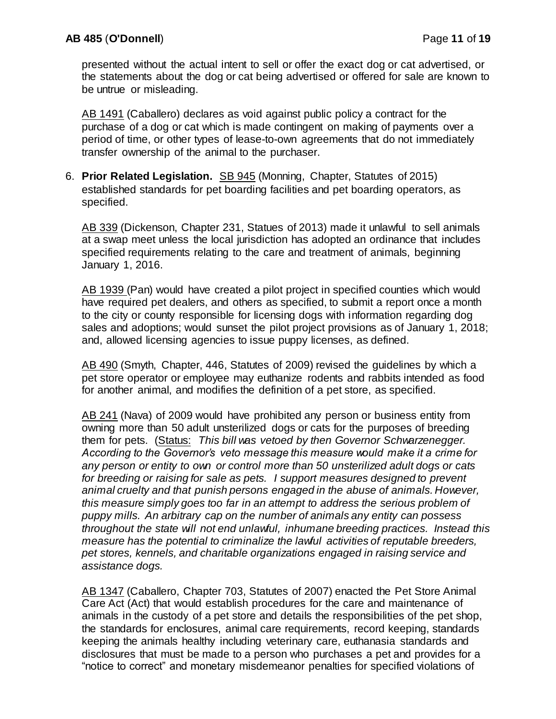presented without the actual intent to sell or offer the exact dog or cat advertised, or the statements about the dog or cat being advertised or offered for sale are known to be untrue or misleading.

AB 1491 (Caballero) declares as void against public policy a contract for the purchase of a dog or cat which is made contingent on making of payments over a period of time, or other types of lease-to-own agreements that do not immediately transfer ownership of the animal to the purchaser.

6. **Prior Related Legislation.** SB 945 (Monning, Chapter, Statutes of 2015) established standards for pet boarding facilities and pet boarding operators, as specified.

AB 339 (Dickenson, Chapter 231, Statues of 2013) made it unlawful to sell animals at a swap meet unless the local jurisdiction has adopted an ordinance that includes specified requirements relating to the care and treatment of animals, beginning January 1, 2016.

AB 1939 (Pan) would have created a pilot project in specified counties which would have required pet dealers, and others as specified, to submit a report once a month to the city or county responsible for licensing dogs with information regarding dog sales and adoptions; would sunset the pilot project provisions as of January 1, 2018; and, allowed licensing agencies to issue puppy licenses, as defined.

AB 490 (Smyth, Chapter, 446, Statutes of 2009) revised the guidelines by which a pet store operator or employee may euthanize rodents and rabbits intended as food for another animal, and modifies the definition of a pet store, as specified.

AB 241 (Nava) of 2009 would have prohibited any person or business entity from owning more than 50 adult unsterilized dogs or cats for the purposes of breeding them for pets. (Status: *This bill was vetoed by then Governor Schwarzenegger. According to the Governor's veto message this measure would make it a crime for any person or entity to own or control more than 50 unsterilized adult dogs or cats for breeding or raising for sale as pets. I support measures designed to prevent animal cruelty and that punish persons engaged in the abuse of animals. However, this measure simply goes too far in an attempt to address the serious problem of puppy mills. An arbitrary cap on the number of animals any entity can possess throughout the state will not end unlawful, inhumane breeding practices. Instead this measure has the potential to criminalize the lawful activities of reputable breeders, pet stores, kennels, and charitable organizations engaged in raising service and assistance dogs.* 

AB 1347 (Caballero, Chapter 703, Statutes of 2007) enacted the Pet Store Animal Care Act (Act) that would establish procedures for the care and maintenance of animals in the custody of a pet store and details the responsibilities of the pet shop, the standards for enclosures, animal care requirements, record keeping, standards keeping the animals healthy including veterinary care, euthanasia standards and disclosures that must be made to a person who purchases a pet and provides for a "notice to correct" and monetary misdemeanor penalties for specified violations of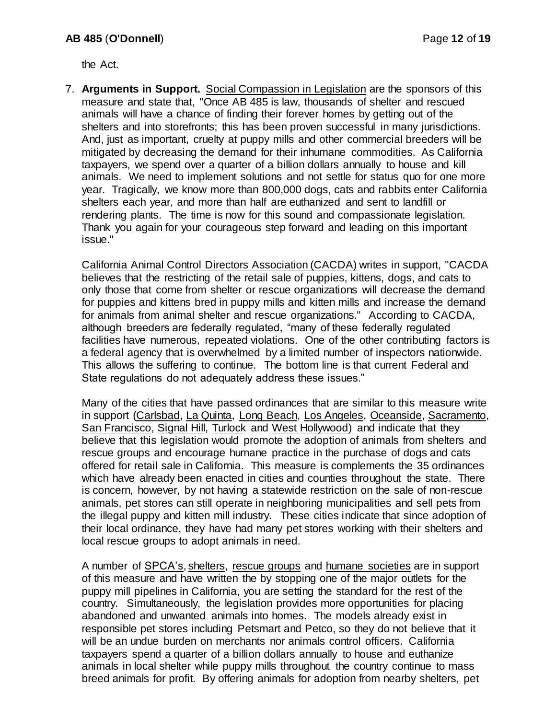the Act.

7. **Arguments in Support.** Social Compassion in Legislation are the sponsors of this measure and state that, "Once AB 485 is law, thousands of shelter and rescued animals will have a chance of finding their forever homes by getting out of the shelters and into storefronts; this has been proven successful in many jurisdictions. And, just as important, cruelty at puppy mills and other commercial breeders will be mitigated by decreasing the demand for their inhumane commodities. As California taxpayers, we spend over a quarter of a billion dollars annually to house and kill animals. We need to implement solutions and not settle for status quo for one more year. Tragically, we know more than 800,000 dogs, cats and rabbits enter California shelters each year, and more than half are euthanized and sent to landfill or rendering plants. The time is now for this sound and compassionate legislation. Thank you again for your courageous step forward and leading on this important issue."

California Animal Control Directors Association (CACDA) writes in support, "CACDA believes that the restricting of the retail sale of puppies, kittens, dogs, and cats to only those that come from shelter or rescue organizations will decrease the demand for puppies and kittens bred in puppy mills and kitten mills and increase the demand for animals from animal shelter and rescue organizations." According to CACDA, although breeders are federally regulated, "many of these federally regulated facilities have numerous, repeated violations. One of the other contributing factors is a federal agency that is overwhelmed by a limited number of inspectors nationwide. This allows the suffering to continue. The bottom line is that current Federal and State regulations do not adequately address these issues."

Many of the cities that have passed ordinances that are similar to this measure write in support (Carlsbad, La Quinta, Long Beach, Los Angeles, Oceanside, Sacramento, San Francisco, Signal Hill, Turlock and West Hollywood) and indicate that they believe that this legislation would promote the adoption of animals from shelters and rescue groups and encourage humane practice in the purchase of dogs and cats offered for retail sale in California. This measure is complements the 35 ordinances which have already been enacted in cities and counties throughout the state. There is concern, however, by not having a statewide restriction on the sale of non-rescue animals, pet stores can still operate in neighboring municipalities and sell pets from the illegal puppy and kitten mill industry. These cities indicate that since adoption of their local ordinance, they have had many pet stores working with their shelters and local rescue groups to adopt animals in need.

A number of SPCA's, shelters, rescue groups and humane societies are in support of this measure and have written the by stopping one of the major outlets for the puppy mill pipelines in California, you are setting the standard for the rest of the country. Simultaneously, the legislation provides more opportunities for placing abandoned and unwanted animals into homes. The models already exist in responsible pet stores including Petsmart and Petco, so they do not believe that it will be an undue burden on merchants nor animals control officers. California taxpayers spend a quarter of a billion dollars annually to house and euthanize animals in local shelter while puppy mills throughout the country continue to mass breed animals for profit. By offering animals for adoption from nearby shelters, pet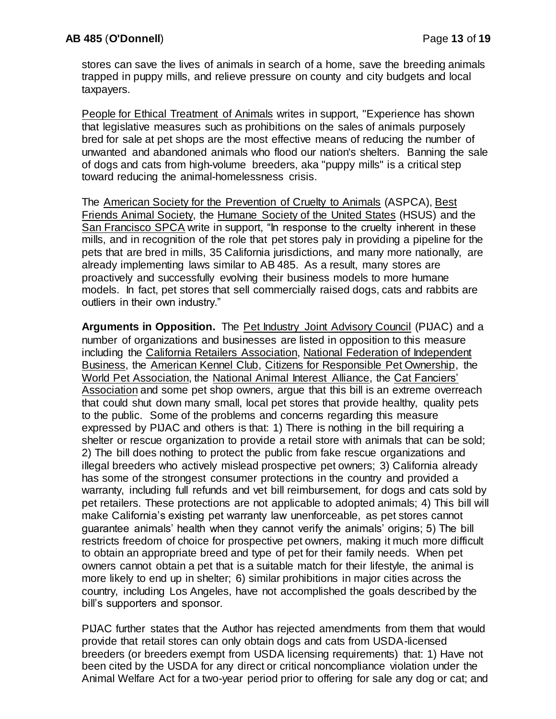stores can save the lives of animals in search of a home, save the breeding animals trapped in puppy mills, and relieve pressure on county and city budgets and local taxpayers.

People for Ethical Treatment of Animals writes in support, "Experience has shown that legislative measures such as prohibitions on the sales of animals purposely bred for sale at pet shops are the most effective means of reducing the number of unwanted and abandoned animals who flood our nation's shelters. Banning the sale of dogs and cats from high-volume breeders, aka "puppy mills" is a critical step toward reducing the animal-homelessness crisis.

The American Society for the Prevention of Cruelty to Animals (ASPCA), Best Friends Animal Society, the Humane Society of the United States (HSUS) and the San Francisco SPCA write in support, "In response to the cruelty inherent in these mills, and in recognition of the role that pet stores paly in providing a pipeline for the pets that are bred in mills, 35 California jurisdictions, and many more nationally, are already implementing laws similar to AB 485. As a result, many stores are proactively and successfully evolving their business models to more humane models. In fact, pet stores that sell commercially raised dogs, cats and rabbits are outliers in their own industry."

**Arguments in Opposition.** The Pet Industry Joint Advisory Council (PIJAC) and a number of organizations and businesses are listed in opposition to this measure including the California Retailers Association, National Federation of Independent Business, the American Kennel Club, Citizens for Responsible Pet Ownership, the World Pet Association, the National Animal Interest Alliance, the Cat Fanciers' Association and some pet shop owners, argue that this bill is an extreme overreach that could shut down many small, local pet stores that provide healthy, quality pets to the public. Some of the problems and concerns regarding this measure expressed by PIJAC and others is that: 1) There is nothing in the bill requiring a shelter or rescue organization to provide a retail store with animals that can be sold; 2) The bill does nothing to protect the public from fake rescue organizations and illegal breeders who actively mislead prospective pet owners; 3) California already has some of the strongest consumer protections in the country and provided a warranty, including full refunds and vet bill reimbursement, for dogs and cats sold by pet retailers. These protections are not applicable to adopted animals; 4) This bill will make California's existing pet warranty law unenforceable, as pet stores cannot guarantee animals' health when they cannot verify the animals' origins; 5) The bill restricts freedom of choice for prospective pet owners, making it much more difficult to obtain an appropriate breed and type of pet for their family needs. When pet owners cannot obtain a pet that is a suitable match for their lifestyle, the animal is more likely to end up in shelter; 6) similar prohibitions in major cities across the country, including Los Angeles, have not accomplished the goals described by the bill's supporters and sponsor.

PIJAC further states that the Author has rejected amendments from them that would provide that retail stores can only obtain dogs and cats from USDA-licensed breeders (or breeders exempt from USDA licensing requirements) that: 1) Have not been cited by the USDA for any direct or critical noncompliance violation under the Animal Welfare Act for a two-year period prior to offering for sale any dog or cat; and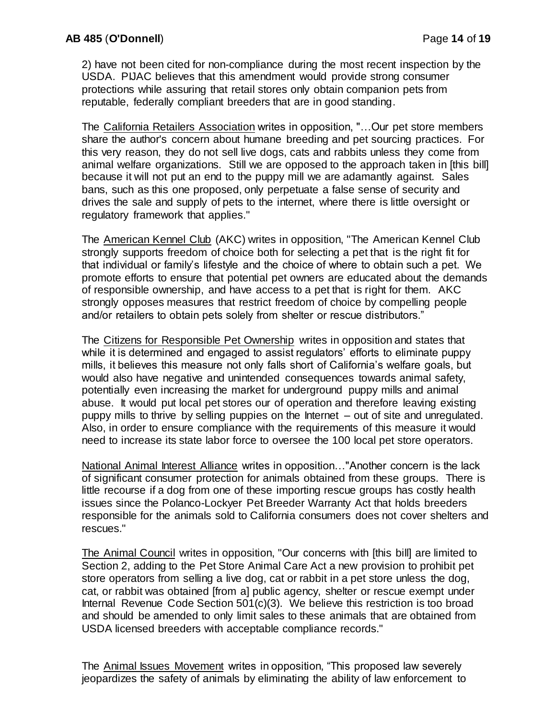2) have not been cited for non-compliance during the most recent inspection by the USDA. PIJAC believes that this amendment would provide strong consumer protections while assuring that retail stores only obtain companion pets from reputable, federally compliant breeders that are in good standing.

The California Retailers Association writes in opposition, "…Our pet store members share the author's concern about humane breeding and pet sourcing practices. For this very reason, they do not sell live dogs, cats and rabbits unless they come from animal welfare organizations. Still we are opposed to the approach taken in [this bill] because it will not put an end to the puppy mill we are adamantly against. Sales bans, such as this one proposed, only perpetuate a false sense of security and drives the sale and supply of pets to the internet, where there is little oversight or regulatory framework that applies."

The American Kennel Club (AKC) writes in opposition, "The American Kennel Club strongly supports freedom of choice both for selecting a pet that is the right fit for that individual or family's lifestyle and the choice of where to obtain such a pet. We promote efforts to ensure that potential pet owners are educated about the demands of responsible ownership, and have access to a pet that is right for them. AKC strongly opposes measures that restrict freedom of choice by compelling people and/or retailers to obtain pets solely from shelter or rescue distributors."

The Citizens for Responsible Pet Ownership writes in opposition and states that while it is determined and engaged to assist regulators' efforts to eliminate puppy mills, it believes this measure not only falls short of California's welfare goals, but would also have negative and unintended consequences towards animal safety, potentially even increasing the market for underground puppy mills and animal abuse. It would put local pet stores our of operation and therefore leaving existing puppy mills to thrive by selling puppies on the Internet – out of site and unregulated. Also, in order to ensure compliance with the requirements of this measure it would need to increase its state labor force to oversee the 100 local pet store operators.

National Animal Interest Alliance writes in opposition…"Another concern is the lack of significant consumer protection for animals obtained from these groups. There is little recourse if a dog from one of these importing rescue groups has costly health issues since the Polanco-Lockyer Pet Breeder Warranty Act that holds breeders responsible for the animals sold to California consumers does not cover shelters and rescues."

The Animal Council writes in opposition, "Our concerns with [this bill] are limited to Section 2, adding to the Pet Store Animal Care Act a new provision to prohibit pet store operators from selling a live dog, cat or rabbit in a pet store unless the dog, cat, or rabbit was obtained [from a] public agency, shelter or rescue exempt under Internal Revenue Code Section 501(c)(3). We believe this restriction is too broad and should be amended to only limit sales to these animals that are obtained from USDA licensed breeders with acceptable compliance records."

The Animal Issues Movement writes in opposition, "This proposed law severely jeopardizes the safety of animals by eliminating the ability of law enforcement to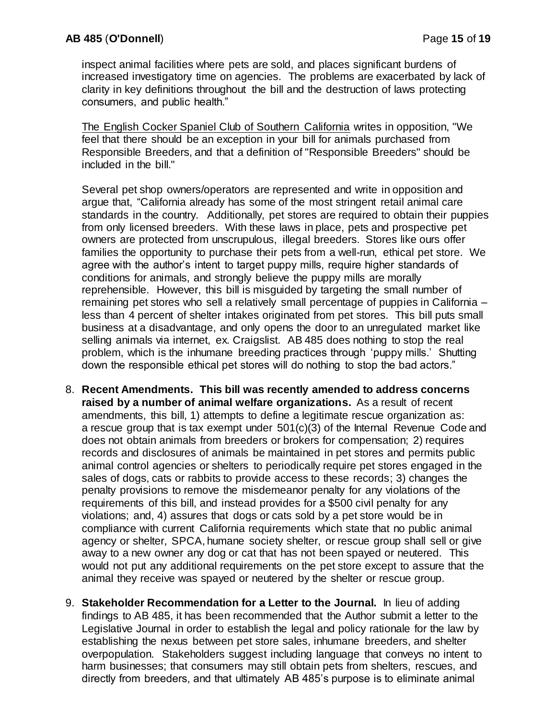inspect animal facilities where pets are sold, and places significant burdens of increased investigatory time on agencies. The problems are exacerbated by lack of clarity in key definitions throughout the bill and the destruction of laws protecting consumers, and public health."

The English Cocker Spaniel Club of Southern California writes in opposition, "We feel that there should be an exception in your bill for animals purchased from Responsible Breeders, and that a definition of "Responsible Breeders" should be included in the bill."

Several pet shop owners/operators are represented and write in opposition and argue that, "California already has some of the most stringent retail animal care standards in the country. Additionally, pet stores are required to obtain their puppies from only licensed breeders. With these laws in place, pets and prospective pet owners are protected from unscrupulous, illegal breeders. Stores like ours offer families the opportunity to purchase their pets from a well-run, ethical pet store. We agree with the author's intent to target puppy mills, require higher standards of conditions for animals, and strongly believe the puppy mills are morally reprehensible. However, this bill is misguided by targeting the small number of remaining pet stores who sell a relatively small percentage of puppies in California – less than 4 percent of shelter intakes originated from pet stores. This bill puts small business at a disadvantage, and only opens the door to an unregulated market like selling animals via internet, ex. Craigslist. AB 485 does nothing to stop the real problem, which is the inhumane breeding practices through 'puppy mills.' Shutting down the responsible ethical pet stores will do nothing to stop the bad actors."

- 8. **Recent Amendments. This bill was recently amended to address concerns raised by a number of animal welfare organizations.** As a result of recent amendments, this bill, 1) attempts to define a legitimate rescue organization as: a rescue group that is tax exempt under 501(c)(3) of the Internal Revenue Code and does not obtain animals from breeders or brokers for compensation; 2) requires records and disclosures of animals be maintained in pet stores and permits public animal control agencies or shelters to periodically require pet stores engaged in the sales of dogs, cats or rabbits to provide access to these records; 3) changes the penalty provisions to remove the misdemeanor penalty for any violations of the requirements of this bill, and instead provides for a \$500 civil penalty for any violations; and, 4) assures that dogs or cats sold by a pet store would be in compliance with current California requirements which state that no public animal agency or shelter, SPCA, humane society shelter, or rescue group shall sell or give away to a new owner any dog or cat that has not been spayed or neutered. This would not put any additional requirements on the pet store except to assure that the animal they receive was spayed or neutered by the shelter or rescue group.
- 9. **Stakeholder Recommendation for a Letter to the Journal.** In lieu of adding findings to AB 485, it has been recommended that the Author submit a letter to the Legislative Journal in order to establish the legal and policy rationale for the law by establishing the nexus between pet store sales, inhumane breeders, and shelter overpopulation. Stakeholders suggest including language that conveys no intent to harm businesses; that consumers may still obtain pets from shelters, rescues, and directly from breeders, and that ultimately AB 485's purpose is to eliminate animal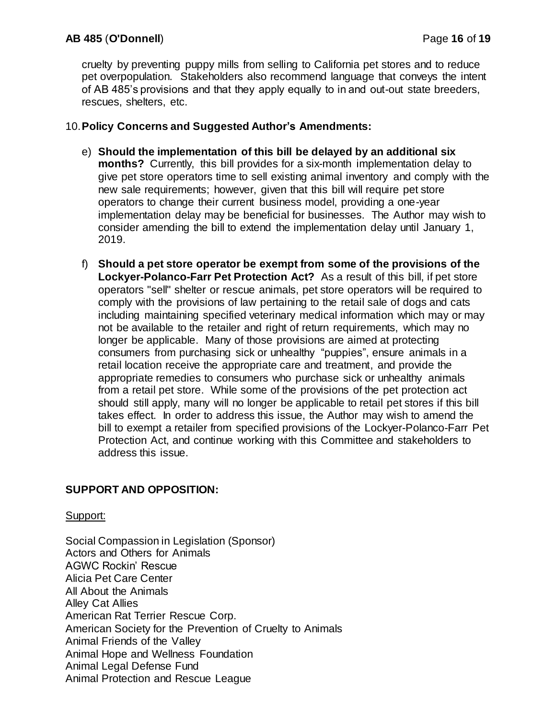cruelty by preventing puppy mills from selling to California pet stores and to reduce pet overpopulation. Stakeholders also recommend language that conveys the intent of AB 485's provisions and that they apply equally to in and out-out state breeders, rescues, shelters, etc.

## 10.**Policy Concerns and Suggested Author's Amendments:**

- e) **Should the implementation of this bill be delayed by an additional six months?** Currently, this bill provides for a six-month implementation delay to give pet store operators time to sell existing animal inventory and comply with the new sale requirements; however, given that this bill will require pet store operators to change their current business model, providing a one-year implementation delay may be beneficial for businesses. The Author may wish to consider amending the bill to extend the implementation delay until January 1, 2019.
- f) **Should a pet store operator be exempt from some of the provisions of the Lockyer-Polanco-Farr Pet Protection Act?** As a result of this bill, if pet store operators "sell" shelter or rescue animals, pet store operators will be required to comply with the provisions of law pertaining to the retail sale of dogs and cats including maintaining specified veterinary medical information which may or may not be available to the retailer and right of return requirements, which may no longer be applicable. Many of those provisions are aimed at protecting consumers from purchasing sick or unhealthy "puppies", ensure animals in a retail location receive the appropriate care and treatment, and provide the appropriate remedies to consumers who purchase sick or unhealthy animals from a retail pet store. While some of the provisions of the pet protection act should still apply, many will no longer be applicable to retail pet stores if this bill takes effect. In order to address this issue, the Author may wish to amend the bill to exempt a retailer from specified provisions of the Lockyer-Polanco-Farr Pet Protection Act, and continue working with this Committee and stakeholders to address this issue.

# **SUPPORT AND OPPOSITION:**

# Support:

Social Compassion in Legislation (Sponsor) Actors and Others for Animals AGWC Rockin' Rescue Alicia Pet Care Center All About the Animals Alley Cat Allies American Rat Terrier Rescue Corp. American Society for the Prevention of Cruelty to Animals Animal Friends of the Valley Animal Hope and Wellness Foundation Animal Legal Defense Fund Animal Protection and Rescue League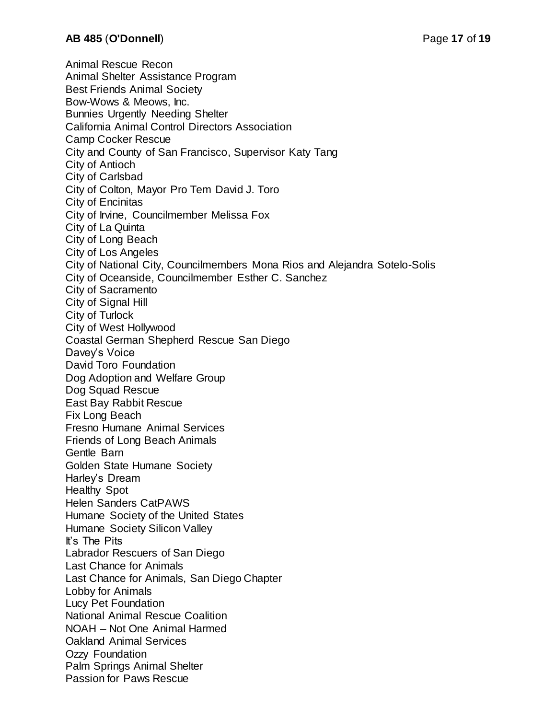Animal Rescue Recon Animal Shelter Assistance Program Best Friends Animal Society Bow-Wows & Meows, Inc. Bunnies Urgently Needing Shelter California Animal Control Directors Association Camp Cocker Rescue City and County of San Francisco, Supervisor Katy Tang City of Antioch City of Carlsbad City of Colton, Mayor Pro Tem David J. Toro City of Encinitas City of Irvine, Councilmember Melissa Fox City of La Quinta City of Long Beach City of Los Angeles City of National City, Councilmembers Mona Rios and Alejandra Sotelo-Solis City of Oceanside, Councilmember Esther C. Sanchez City of Sacramento City of Signal Hill City of Turlock City of West Hollywood Coastal German Shepherd Rescue San Diego Davey's Voice David Toro Foundation Dog Adoption and Welfare Group Dog Squad Rescue East Bay Rabbit Rescue Fix Long Beach Fresno Humane Animal Services Friends of Long Beach Animals Gentle Barn Golden State Humane Society Harley's Dream Healthy Spot Helen Sanders CatPAWS Humane Society of the United States Humane Society Silicon Valley It's The Pits Labrador Rescuers of San Diego Last Chance for Animals Last Chance for Animals, San Diego Chapter Lobby for Animals Lucy Pet Foundation National Animal Rescue Coalition NOAH – Not One Animal Harmed Oakland Animal Services Ozzy Foundation Palm Springs Animal Shelter Passion for Paws Rescue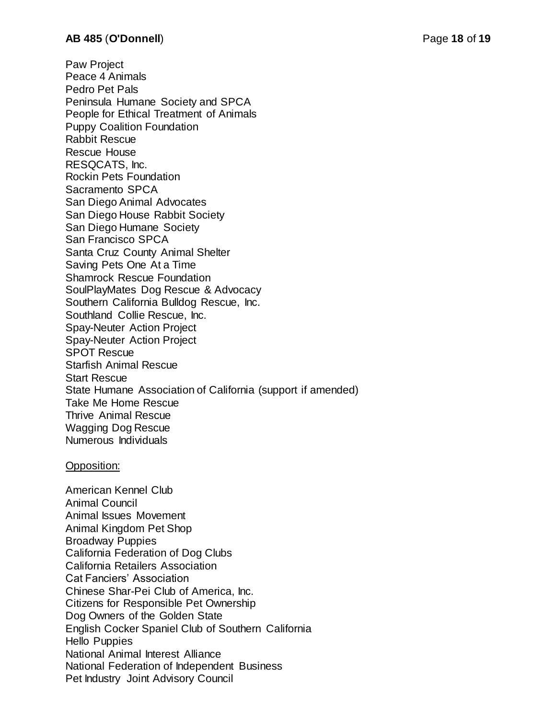Paw Project Peace 4 Animals Pedro Pet Pals Peninsula Humane Society and SPCA People for Ethical Treatment of Animals Puppy Coalition Foundation Rabbit Rescue Rescue House RESQCATS, Inc. Rockin Pets Foundation Sacramento SPCA San Diego Animal Advocates San Diego House Rabbit Society San Diego Humane Society San Francisco SPCA Santa Cruz County Animal Shelter Saving Pets One At a Time Shamrock Rescue Foundation SoulPlayMates Dog Rescue & Advocacy Southern California Bulldog Rescue, Inc. Southland Collie Rescue, Inc. Spay-Neuter Action Project Spay-Neuter Action Project SPOT Rescue Starfish Animal Rescue Start Rescue State Humane Association of California (support if amended) Take Me Home Rescue Thrive Animal Rescue Wagging Dog Rescue Numerous Individuals

#### Opposition:

American Kennel Club Animal Council Animal Issues Movement Animal Kingdom Pet Shop Broadway Puppies California Federation of Dog Clubs California Retailers Association Cat Fanciers' Association Chinese Shar-Pei Club of America, Inc. Citizens for Responsible Pet Ownership Dog Owners of the Golden State English Cocker Spaniel Club of Southern California Hello Puppies National Animal Interest Alliance National Federation of Independent Business Pet Industry Joint Advisory Council